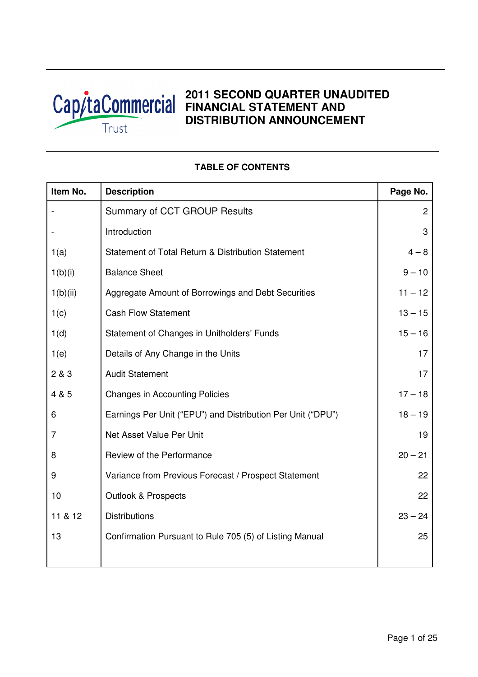

# **2011 SECOND QUARTER UNAUDITED FINANCIAL STATEMENT AND DISTRIBUTION ANNOUNCEMENT**

| Item No. | <b>Description</b>                                          | Page No.       |
|----------|-------------------------------------------------------------|----------------|
|          | Summary of CCT GROUP Results                                | $\overline{c}$ |
|          | Introduction                                                | 3              |
| 1(a)     | Statement of Total Return & Distribution Statement          | $4 - 8$        |
| 1(b)(i)  | <b>Balance Sheet</b>                                        | $9 - 10$       |
| 1(b)(ii) | Aggregate Amount of Borrowings and Debt Securities          | $11 - 12$      |
| 1(c)     | <b>Cash Flow Statement</b>                                  | $13 - 15$      |
| 1(d)     | Statement of Changes in Unitholders' Funds                  | $15 - 16$      |
| 1(e)     | Details of Any Change in the Units                          | 17             |
| 2 & 3    | <b>Audit Statement</b>                                      | 17             |
| 4 & 5    | <b>Changes in Accounting Policies</b>                       | $17 - 18$      |
| 6        | Earnings Per Unit ("EPU") and Distribution Per Unit ("DPU") | $18 - 19$      |
| 7        | Net Asset Value Per Unit                                    | 19             |
| 8        | Review of the Performance                                   | $20 - 21$      |
| 9        | Variance from Previous Forecast / Prospect Statement        | 22             |
| 10       | <b>Outlook &amp; Prospects</b>                              | 22             |
| 11 & 12  | <b>Distributions</b>                                        | $23 - 24$      |
| 13       | Confirmation Pursuant to Rule 705 (5) of Listing Manual     | 25             |
|          |                                                             |                |

# **TABLE OF CONTENTS**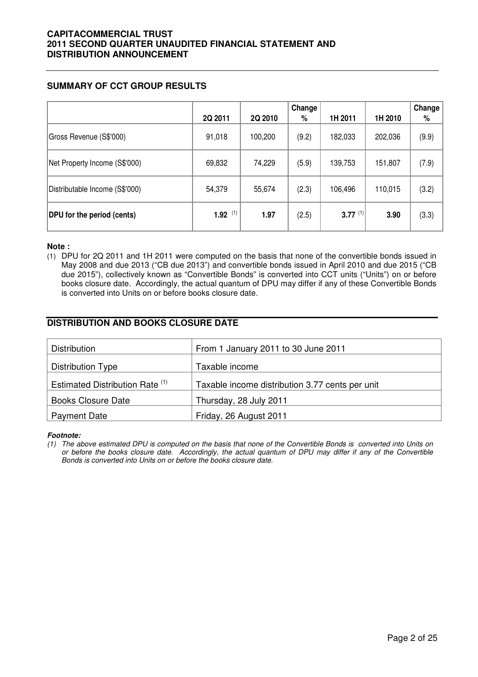## **SUMMARY OF CCT GROUP RESULTS**

|                                | 2Q 2011               | 2Q 2010 | Change<br>$\%$ | 1H 2011      | 1H 2010 | Change<br>% |
|--------------------------------|-----------------------|---------|----------------|--------------|---------|-------------|
| Gross Revenue (S\$'000)        | 91,018                | 100,200 | (9.2)          | 182,033      | 202,036 | (9.9)       |
| Net Property Income (S\$'000)  | 69,832                | 74,229  | (5.9)          | 139,753      | 151,807 | (7.9)       |
| Distributable Income (S\$'000) | 54,379                | 55,674  | (2.3)          | 106,496      | 110,015 | (3.2)       |
| DPU for the period (cents)     | $1.92$ <sup>(1)</sup> | 1.97    | (2.5)          | $3.77^{(1)}$ | 3.90    | (3.3)       |

#### **Note :**

(1) DPU for 2Q 2011 and 1H 2011 were computed on the basis that none of the convertible bonds issued in May 2008 and due 2013 ("CB due 2013") and convertible bonds issued in April 2010 and due 2015 ("CB due 2015"), collectively known as "Convertible Bonds" is converted into CCT units ("Units") on or before books closure date. Accordingly, the actual quantum of DPU may differ if any of these Convertible Bonds is converted into Units on or before books closure date.

## **DISTRIBUTION AND BOOKS CLOSURE DATE**

| Distribution                               | From 1 January 2011 to 30 June 2011             |
|--------------------------------------------|-------------------------------------------------|
| Distribution Type                          | Taxable income                                  |
| Estimated Distribution Rate <sup>(1)</sup> | Taxable income distribution 3.77 cents per unit |
| <b>Books Closure Date</b>                  | Thursday, 28 July 2011                          |
| <b>Payment Date</b>                        | Friday, 26 August 2011                          |

#### **Footnote:**

(1) The above estimated DPU is computed on the basis that none of the Convertible Bonds is converted into Units on or before the books closure date. Accordingly, the actual quantum of DPU may differ if any of the Convertible Bonds is converted into Units on or before the books closure date.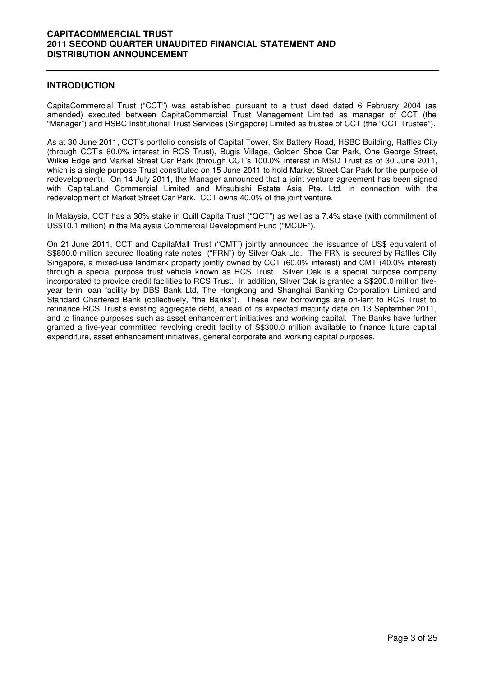## **INTRODUCTION**

CapitaCommercial Trust ("CCT") was established pursuant to a trust deed dated 6 February 2004 (as amended) executed between CapitaCommercial Trust Management Limited as manager of CCT (the "Manager") and HSBC Institutional Trust Services (Singapore) Limited as trustee of CCT (the "CCT Trustee").

As at 30 June 2011, CCT's portfolio consists of Capital Tower, Six Battery Road, HSBC Building, Raffles City (through CCT's 60.0% interest in RCS Trust), Bugis Village, Golden Shoe Car Park, One George Street, Wilkie Edge and Market Street Car Park (through CCT's 100.0% interest in MSO Trust as of 30 June 2011, which is a single purpose Trust constituted on 15 June 2011 to hold Market Street Car Park for the purpose of redevelopment). On 14 July 2011, the Manager announced that a joint venture agreement has been signed with CapitaLand Commercial Limited and Mitsubishi Estate Asia Pte. Ltd. in connection with the redevelopment of Market Street Car Park. CCT owns 40.0% of the joint venture.

In Malaysia, CCT has a 30% stake in Quill Capita Trust ("QCT") as well as a 7.4% stake (with commitment of US\$10.1 million) in the Malaysia Commercial Development Fund ("MCDF").

On 21 June 2011, CCT and CapitaMall Trust ("CMT") jointly announced the issuance of US\$ equivalent of S\$800.0 million secured floating rate notes ("FRN") by Silver Oak Ltd. The FRN is secured by Raffles City Singapore, a mixed-use landmark property jointly owned by CCT (60.0% interest) and CMT (40.0% interest) through a special purpose trust vehicle known as RCS Trust. Silver Oak is a special purpose company incorporated to provide credit facilities to RCS Trust. In addition, Silver Oak is granted a S\$200.0 million fiveyear term loan facility by DBS Bank Ltd, The Hongkong and Shanghai Banking Corporation Limited and Standard Chartered Bank (collectively, "the Banks"). These new borrowings are on-lent to RCS Trust to refinance RCS Trust's existing aggregate debt, ahead of its expected maturity date on 13 September 2011, and to finance purposes such as asset enhancement initiatives and working capital. The Banks have further granted a five-year committed revolving credit facility of S\$300.0 million available to finance future capital expenditure, asset enhancement initiatives, general corporate and working capital purposes.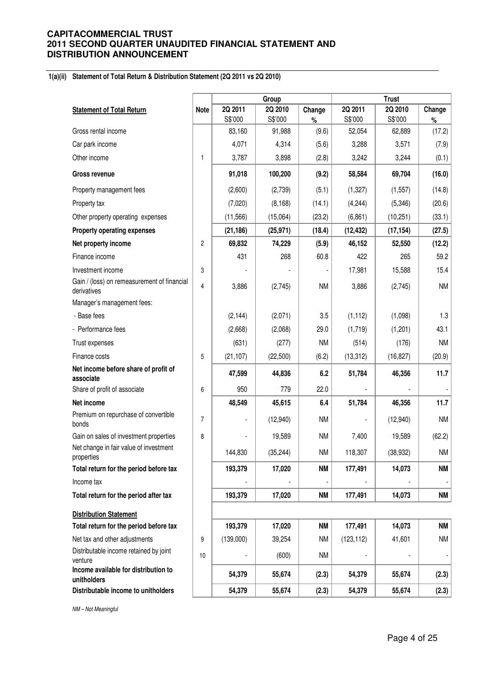#### **1(a)(ii) Statement of Total Return & Distribution Statement (2Q 2011 vs 2Q 2010)**

|                                                            |                | Group     |           |           | <b>Trust</b> |           |           |  |
|------------------------------------------------------------|----------------|-----------|-----------|-----------|--------------|-----------|-----------|--|
| <b>Statement of Total Return</b>                           | <b>Note</b>    | 2Q 2011   | 2Q 2010   | Change    | 2Q 2011      | 2Q 2010   | Change    |  |
| Gross rental income                                        |                | S\$'000   | S\$'000   | $\%$      | S\$'000      | S\$'000   | $\%$      |  |
|                                                            |                | 83,160    | 91,988    | (9.6)     | 52,054       | 62,889    | (17.2)    |  |
| Car park income                                            |                | 4,071     | 4,314     | (5.6)     | 3,288        | 3,571     | (7.9)     |  |
| Other income                                               | $\mathbf{1}$   | 3,787     | 3,898     | (2.8)     | 3,242        | 3,244     | (0.1)     |  |
| <b>Gross revenue</b>                                       |                | 91,018    | 100,200   | (9.2)     | 58,584       | 69,704    | (16.0)    |  |
| Property management fees                                   |                | (2,600)   | (2,739)   | (5.1)     | (1, 327)     | (1, 557)  | (14.8)    |  |
| Property tax                                               |                | (7,020)   | (8, 168)  | (14.1)    | (4, 244)     | (5,346)   | (20.6)    |  |
| Other property operating expenses                          |                | (11, 566) | (15,064)  | (23.2)    | (6,861)      | (10, 251) | (33.1)    |  |
| <b>Property operating expenses</b>                         |                | (21, 186) | (25, 971) | (18.4)    | (12, 432)    | (17, 154) | (27.5)    |  |
| Net property income                                        | 2              | 69,832    | 74,229    | (5.9)     | 46,152       | 52,550    | (12.2)    |  |
| Finance income                                             |                | 431       | 268       | 60.8      | 422          | 265       | 59.2      |  |
| Investment income                                          | 3              |           |           |           | 17,981       | 15,588    | 15.4      |  |
| Gain / (loss) on remeasurement of financial<br>derivatives | 4              | 3,886     | (2,745)   | <b>NM</b> | 3,886        | (2,745)   | <b>NM</b> |  |
| Manager's management fees:                                 |                |           |           |           |              |           |           |  |
| - Base fees                                                |                | (2, 144)  | (2,071)   | 3.5       | (1, 112)     | (1,098)   | 1.3       |  |
| - Performance fees                                         |                | (2,668)   | (2,068)   | 29.0      | (1,719)      | (1,201)   | 43.1      |  |
| Trust expenses                                             |                | (631)     | (277)     | <b>NM</b> | (514)        | (176)     | <b>NM</b> |  |
| Finance costs                                              | 5              | (21, 107) | (22,500)  | (6.2)     | (13, 312)    | (16, 827) | (20.9)    |  |
| Net income before share of profit of<br>associate          |                | 47,599    | 44,836    | 6.2       | 51,784       | 46,356    | 11.7      |  |
| Share of profit of associate                               | 6              | 950       | 779       | 22.0      |              |           |           |  |
| Net income                                                 |                | 48,549    | 45,615    | 6.4       | 51,784       | 46,356    | 11.7      |  |
| Premium on repurchase of convertible<br>bonds              | $\overline{7}$ |           | (12,940)  | <b>NM</b> |              | (12,940)  | <b>NM</b> |  |
| Gain on sales of investment properties                     | 8              |           | 19,589    | <b>NM</b> | 7,400        | 19,589    | (62.2)    |  |
| Net change in fair value of investment<br>properties       |                | 144,830   | (35, 244) | <b>NM</b> | 118,307      | (38, 932) | NM        |  |
| Total return for the period before tax                     |                | 193,379   | 17,020    | <b>NM</b> | 177,491      | 14,073    | <b>NM</b> |  |
| Income tax                                                 |                |           |           |           |              |           |           |  |
| Total return for the period after tax                      |                | 193,379   | 17,020    | <b>NM</b> | 177,491      | 14,073    | ΝM        |  |
| <b>Distribution Statement</b>                              |                |           |           |           |              |           |           |  |
| Total return for the period before tax                     |                | 193,379   | 17,020    | <b>NM</b> | 177,491      | 14,073    | <b>NM</b> |  |
| Net tax and other adjustments                              | 9              | (139,000) | 39,254    | <b>NM</b> | (123, 112)   | 41,601    | <b>NM</b> |  |
| Distributable income retained by joint<br>venture          | 10             |           | (600)     | <b>NM</b> |              |           |           |  |
| Income available for distribution to<br>unitholders        |                | 54,379    | 55,674    | (2.3)     | 54,379       | 55,674    | (2.3)     |  |
| Distributable income to unitholders                        |                | 54,379    | 55,674    | (2.3)     | 54,379       | 55,674    | (2.3)     |  |

NM – Not Meaningful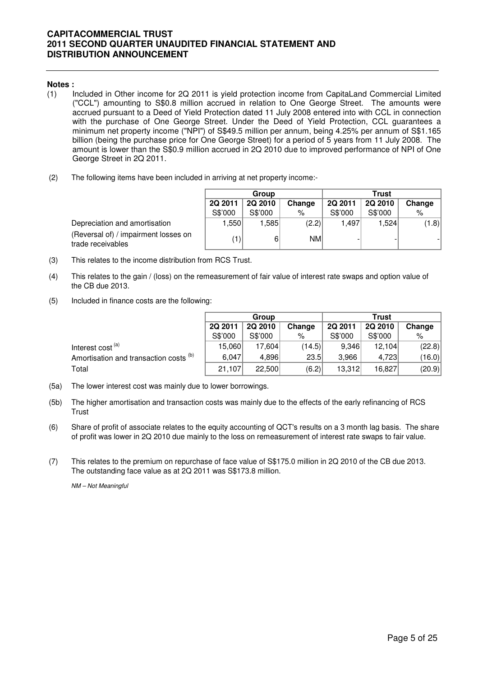#### **Notes :**

- (1) Included in Other income for 2Q 2011 is yield protection income from CapitaLand Commercial Limited ("CCL") amounting to S\$0.8 million accrued in relation to One George Street. The amounts were accrued pursuant to a Deed of Yield Protection dated 11 July 2008 entered into with CCL in connection with the purchase of One George Street. Under the Deed of Yield Protection, CCL guarantees a minimum net property income ("NPI") of S\$49.5 million per annum, being 4.25% per annum of S\$1.165 billion (being the purchase price for One George Street) for a period of 5 years from 11 July 2008. The amount is lower than the S\$0.9 milIion accrued in 2Q 2010 due to improved performance of NPI of One George Street in 2Q 2011.
- (2) The following items have been included in arriving at net property income:-

|                                                           |                | Group   |           | <b>Trust</b> |                |        |  |
|-----------------------------------------------------------|----------------|---------|-----------|--------------|----------------|--------|--|
|                                                           | 2Q 2011        | 2Q 2010 | Change    | 2Q 2011      | <b>2Q 2010</b> | Change |  |
|                                                           | S\$'000        | S\$'000 | ℅         | S\$'000      | S\$'000        | %      |  |
| Depreciation and amortisation                             | ا550. ا        | .5851   | (2.2)     | 1.497        | 1.524          | (1.8)  |  |
| (Reversal of) / impairment losses on<br>trade receivables | $^{\prime}$ 1) | 6       | <b>NM</b> |              |                |        |  |

(Reversal of) / impairment losse

- (3) This relates to the income distribution from RCS Trust.
- (4) This relates to the gain / (loss) on the remeasurement of fair value of interest rate swaps and option value of the CB due 2013.
- (5) Included in finance costs are the following:

|                                        | Group   |         |        | Trust   |         |        |
|----------------------------------------|---------|---------|--------|---------|---------|--------|
|                                        | 2Q 2011 | 2Q 2010 | Change | 2Q 2011 | 2Q 2010 | Change |
|                                        | S\$'000 | S\$'000 | ℅      | S\$'000 | S\$'000 | ℅      |
| Interest cost <sup>(a)</sup>           | 15.060  | 17.604  | (14.5) | 9,346   | 12.104  | (22.8) |
| Amortisation and transaction costs (b) | 6.047   | 4,896   | 23.5   | 3.966   | 4.723   | (16.0) |
| Total                                  | 21,107  | 22,500  | (6.2)  | 13,312  | 16.827  | (20.9) |

- (5a) The lower interest cost was mainly due to lower borrowings.
- (5b) The higher amortisation and transaction costs was mainly due to the effects of the early refinancing of RCS **Trust**
- (6) Share of profit of associate relates to the equity accounting of QCT's results on a 3 month lag basis. The share of profit was lower in 2Q 2010 due mainly to the loss on remeasurement of interest rate swaps to fair value.
- (7) This relates to the premium on repurchase of face value of S\$175.0 million in 2Q 2010 of the CB due 2013. The outstanding face value as at 2Q 2011 was S\$173.8 million.

NM – Not Meaningful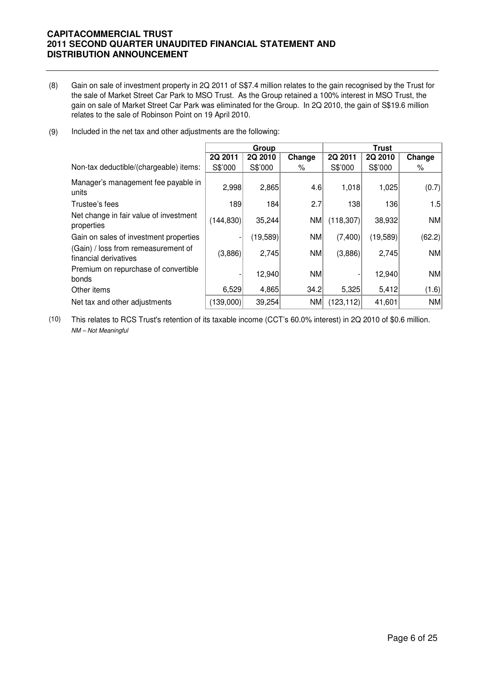(8) Gain on sale of investment property in 2Q 2011 of S\$7.4 million relates to the gain recognised by the Trust for the sale of Market Street Car Park to MSO Trust. As the Group retained a 100% interest in MSO Trust, the gain on sale of Market Street Car Park was eliminated for the Group. In 2Q 2010, the gain of S\$19.6 million relates to the sale of Robinson Point on 19 April 2010.

| (9) | Included in the net tax and other adjustments are the following: |
|-----|------------------------------------------------------------------|
|-----|------------------------------------------------------------------|

|                                                              | Group      |          |        | <b>Trust</b> |          |           |
|--------------------------------------------------------------|------------|----------|--------|--------------|----------|-----------|
|                                                              | 2Q 2011    | 2Q 2010  | Change | 2Q 2011      | 2Q 2010  | Change    |
| Non-tax deductible/(chargeable) items:                       | S\$'000    | S\$'000  | %      | S\$'000      | S\$'000  | ℅         |
| Manager's management fee payable in<br>units                 | 2,998      | 2,865    | 4.6    | 1,018        | 1,025    | (0.7)     |
| Trustee's fees                                               | 189        | 184      | 2.7    | 138          | 136      | 1.5       |
| Net change in fair value of investment<br>properties         | (144, 830) | 35,244   | NM     | (118, 307)   | 38,932   | <b>NM</b> |
| Gain on sales of investment properties                       |            | (19,589) | NM     | (7,400)      | (19,589) | (62.2)    |
| (Gain) / loss from remeasurement of<br>financial derivatives | (3,886)    | 2,745    | NM     | (3,886)      | 2,745    | NM        |
| Premium on repurchase of convertible<br>bonds                |            | 12,940   | NM     |              | 12,940   | <b>NM</b> |
| Other items                                                  | 6,529      | 4,865    | 34.2   | 5,325        | 5,412    | (1.6)     |
| Net tax and other adjustments                                | (139,000)  | 39,254   | NM     | (123, 112)   | 41,601   | NM        |

(10) This relates to RCS Trust's retention of its taxable income (CCT's 60.0% interest) in 2Q 2010 of \$0.6 million. NM – Not Meaningful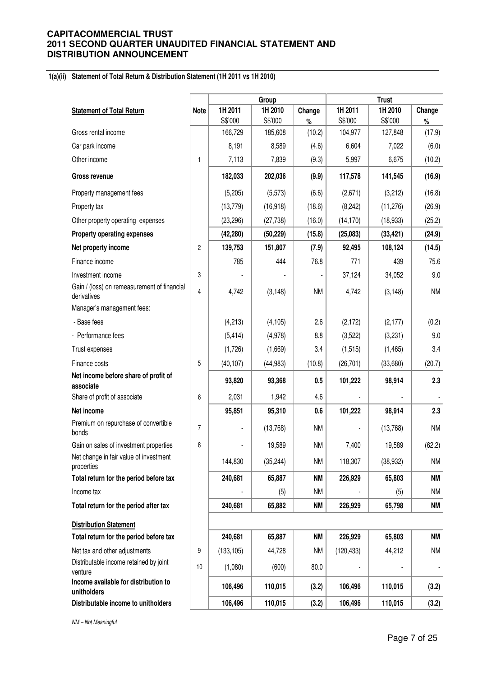#### **1(a)(ii) Statement of Total Return & Distribution Statement (1H 2011 vs 1H 2010)**

|                                                            |                |            | Group     |           |            | <b>Trust</b> |           |
|------------------------------------------------------------|----------------|------------|-----------|-----------|------------|--------------|-----------|
| <b>Statement of Total Return</b>                           | <b>Note</b>    | 1H 2011    | 1H 2010   | Change    | 1H 2011    | 1H 2010      | Change    |
|                                                            |                | S\$'000    | S\$'000   | $\%$      | S\$'000    | S\$'000      | $\%$      |
| Gross rental income                                        |                | 166,729    | 185,608   | (10.2)    | 104,977    | 127,848      | (17.9)    |
| Car park income                                            |                | 8,191      | 8,589     | (4.6)     | 6,604      | 7,022        | (6.0)     |
| Other income                                               | 1              | 7,113      | 7,839     | (9.3)     | 5,997      | 6,675        | (10.2)    |
| <b>Gross revenue</b>                                       |                | 182,033    | 202,036   | (9.9)     | 117,578    | 141,545      | (16.9)    |
| Property management fees                                   |                | (5,205)    | (5, 573)  | (6.6)     | (2,671)    | (3,212)      | (16.8)    |
| Property tax                                               |                | (13, 779)  | (16, 918) | (18.6)    | (8, 242)   | (11, 276)    | (26.9)    |
| Other property operating expenses                          |                | (23, 296)  | (27, 738) | (16.0)    | (14, 170)  | (18, 933)    | (25.2)    |
| <b>Property operating expenses</b>                         |                | (42, 280)  | (50, 229) | (15.8)    | (25,083)   | (33, 421)    | (24.9)    |
| Net property income                                        | $\overline{c}$ | 139,753    | 151,807   | (7.9)     | 92,495     | 108,124      | (14.5)    |
| Finance income                                             |                | 785        | 444       | 76.8      | 771        | 439          | 75.6      |
| Investment income                                          | 3              |            |           |           | 37,124     | 34,052       | 9.0       |
| Gain / (loss) on remeasurement of financial<br>derivatives | 4              | 4,742      | (3, 148)  | <b>NM</b> | 4,742      | (3, 148)     | NM        |
| Manager's management fees:                                 |                |            |           |           |            |              |           |
| - Base fees                                                |                | (4,213)    | (4, 105)  | 2.6       | (2, 172)   | (2, 177)     | (0.2)     |
| - Performance fees                                         |                | (5, 414)   | (4,978)   | 8.8       | (3,522)    | (3,231)      | $9.0\,$   |
| Trust expenses                                             |                | (1,726)    | (1,669)   | 3.4       | (1, 515)   | (1, 465)     | 3.4       |
| Finance costs                                              | 5              | (40, 107)  | (44, 983) | (10.8)    | (26, 701)  | (33,680)     | (20.7)    |
| Net income before share of profit of<br>associate          |                | 93,820     | 93,368    | 0.5       | 101,222    | 98,914       | 2.3       |
| Share of profit of associate                               | 6              | 2,031      | 1,942     | 4.6       |            |              |           |
| Net income                                                 |                | 95,851     | 95,310    | 0.6       | 101,222    | 98,914       | 2.3       |
| Premium on repurchase of convertible<br>bonds              | $\overline{7}$ |            | (13,768)  | <b>NM</b> |            | (13,768)     | NM        |
| Gain on sales of investment properties                     | 8              |            | 19,589    | <b>NM</b> | 7,400      | 19,589       | (62.2)    |
| Net change in fair value of investment<br>properties       |                | 144,830    | (35, 244) | <b>NM</b> | 118,307    | (38, 932)    | NM        |
| Total return for the period before tax                     |                | 240,681    | 65,887    | <b>NM</b> | 226,929    | 65,803       | ΝM        |
| Income tax                                                 |                |            | (5)       | <b>NM</b> |            | (5)          | NM        |
| Total return for the period after tax                      |                | 240,681    | 65,882    | <b>NM</b> | 226,929    | 65,798       | <b>NM</b> |
| <b>Distribution Statement</b>                              |                |            |           |           |            |              |           |
| Total return for the period before tax                     |                | 240,681    | 65,887    | <b>NM</b> | 226,929    | 65,803       | <b>NM</b> |
| Net tax and other adjustments                              | 9              | (133, 105) | 44,728    | <b>NM</b> | (120, 433) | 44,212       | NM        |
| Distributable income retained by joint<br>venture          | $10$           | (1,080)    | (600)     | 80.0      |            |              |           |
| Income available for distribution to<br>unitholders        |                | 106,496    | 110,015   | (3.2)     | 106,496    | 110,015      | (3.2)     |
| Distributable income to unitholders                        |                | 106,496    | 110,015   | (3.2)     | 106,496    | 110,015      | (3.2)     |

NM – Not Meaningful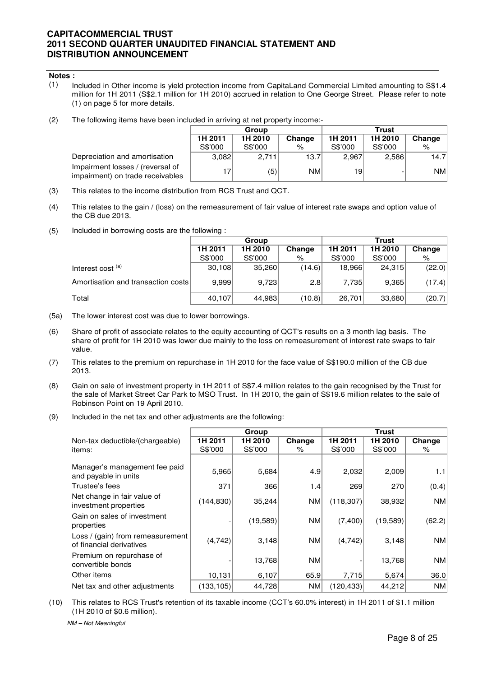- (1) Included in Other income is yield protection income from CapitaLand Commercial Limited amounting to S\$1.4 million for 1H 2011 (S\$2.1 million for 1H 2010) accrued in relation to One George Street. Please refer to note (1) on page 5 for more details.
- (2) The following items have been included in arriving at net property income:-

|                                                                      |         | Group   |        | Trust   |         |           |  |  |
|----------------------------------------------------------------------|---------|---------|--------|---------|---------|-----------|--|--|
|                                                                      | 1H 2011 | 1H 2010 | Change | 1H 2011 | 1H 2010 | Change    |  |  |
|                                                                      | S\$'000 | S\$'000 | %      | S\$'000 | S\$'000 | %         |  |  |
| Depreciation and amortisation                                        | 3.082   | 2.711   | 13.7   | 2.967   | 2,586   | 14.7      |  |  |
| Impairment losses / (reversal of<br>impairment) on trade receivables | 17      | (5)     | NM     | 19      |         | <b>NM</b> |  |  |

- (3) This relates to the income distribution from RCS Trust and QCT.
- (4) This relates to the gain / (loss) on the remeasurement of fair value of interest rate swaps and option value of the CB due 2013.
- (5) Included in borrowing costs are the following :

|                                    |         | Group   |        | <b>Trust</b> |         |        |  |
|------------------------------------|---------|---------|--------|--------------|---------|--------|--|
|                                    | 1H 2011 | 1H 2010 | Change | 1H 2011      | 1H 2010 | Change |  |
|                                    | S\$'000 | S\$'000 | %      | S\$'000      | S\$'000 | %      |  |
| Interest cost <sup>(a)</sup>       | 30,108  | 35,260  | (14.6) | 18,966       | 24,315  | (22.0) |  |
| Amortisation and transaction costs | 9.999   | 9,723   | 2.8    | 7,735        | 9,365   | (17.4) |  |
| Total                              | 40,107  | 44,983  | (10.8) | 26,701       | 33,680  | (20.7) |  |

- (5a) The lower interest cost was due to lower borrowings.
- (6) Share of profit of associate relates to the equity accounting of QCT's results on a 3 month lag basis. The share of profit for 1H 2010 was lower due mainly to the loss on remeasurement of interest rate swaps to fair value.
- (7) This relates to the premium on repurchase in 1H 2010 for the face value of S\$190.0 million of the CB due 2013.
- (8) Gain on sale of investment property in 1H 2011 of S\$7.4 million relates to the gain recognised by the Trust for the sale of Market Street Car Park to MSO Trust. In 1H 2010, the gain of S\$19.6 million relates to the sale of Robinson Point on 19 April 2010.
- (9) Included in the net tax and other adjustments are the following:

|                                                              |            | Group    |           | <b>Trust</b> |          |           |
|--------------------------------------------------------------|------------|----------|-----------|--------------|----------|-----------|
| Non-tax deductible/(chargeable)                              | 1H 2011    | 1H 2010  | Change    | 1H 2011      | 1H 2010  | Change    |
| items:                                                       | S\$'000    | S\$'000  | $\%$      | S\$'000      | S\$'000  | %         |
| Manager's management fee paid<br>and payable in units        | 5,965      | 5,684    | 4.9       | 2,032        | 2,009    | 1.1       |
| Trustee's fees                                               | 371        | 366      | 1.4       | 269          | 270      | (0.4)     |
| Net change in fair value of<br>investment properties         | (144, 830) | 35,244   | <b>NM</b> | (118, 307)   | 38,932   | <b>NM</b> |
| Gain on sales of investment<br>properties                    |            | (19,589) | <b>NM</b> | (7,400)      | (19,589) | (62.2)    |
| Loss / (gain) from remeasurement<br>of financial derivatives | (4,742)    | 3,148    | <b>NM</b> | (4, 742)     | 3,148    | <b>NM</b> |
| Premium on repurchase of<br>convertible bonds                |            | 13,768   | <b>NM</b> |              | 13,768   | <b>NM</b> |
| Other items                                                  | 10,131     | 6,107    | 65.9      | 7,715        | 5,674    | 36.0      |
| Net tax and other adjustments                                | (133, 105) | 44,728   | <b>NM</b> | (120, 433)   | 44,212   | <b>NM</b> |

(10) This relates to RCS Trust's retention of its taxable income (CCT's 60.0% interest) in 1H 2011 of \$1.1 million (1H 2010 of \$0.6 million).

NM – Not Meaningful

**Notes :**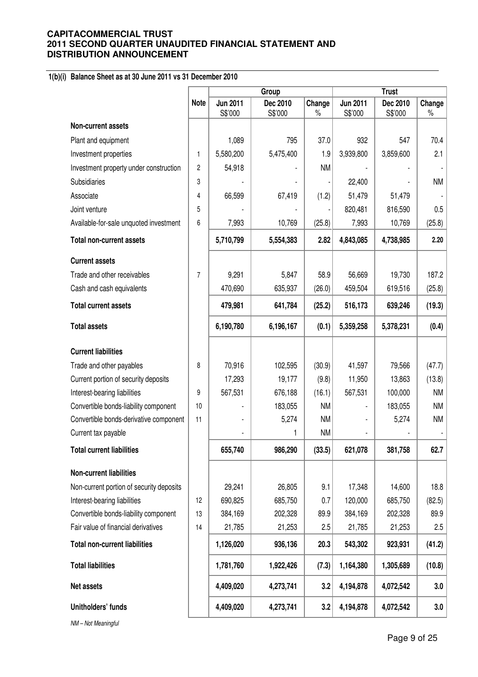# **1(b)(i) Balance Sheet as at 30 June 2011 vs 31 December 2010**

|                                          |             | Group                      |                     |                | <b>Trust</b>               |                     |                |
|------------------------------------------|-------------|----------------------------|---------------------|----------------|----------------------------|---------------------|----------------|
|                                          | <b>Note</b> | <b>Jun 2011</b><br>S\$'000 | Dec 2010<br>S\$'000 | Change<br>$\%$ | <b>Jun 2011</b><br>S\$'000 | Dec 2010<br>S\$'000 | Change<br>$\%$ |
| Non-current assets                       |             |                            |                     |                |                            |                     |                |
| Plant and equipment                      |             | 1,089                      | 795                 | 37.0           | 932                        | 547                 | 70.4           |
| Investment properties                    | 1           | 5,580,200                  | 5,475,400           | 1.9            | 3,939,800                  | 3,859,600           | 2.1            |
| Investment property under construction   | 2           | 54,918                     |                     | <b>NM</b>      |                            |                     |                |
| Subsidiaries                             | 3           |                            |                     |                | 22,400                     |                     | <b>NM</b>      |
| Associate                                | 4           | 66,599                     | 67,419              | (1.2)          | 51,479                     | 51,479              |                |
| Joint venture                            | 5           |                            |                     |                | 820,481                    | 816,590             | 0.5            |
| Available-for-sale unquoted investment   | 6           | 7,993                      | 10,769              | (25.8)         | 7,993                      | 10,769              | (25.8)         |
| <b>Total non-current assets</b>          |             | 5,710,799                  | 5,554,383           | 2.82           | 4,843,085                  | 4,738,985           | 2.20           |
| <b>Current assets</b>                    |             |                            |                     |                |                            |                     |                |
| Trade and other receivables              | 7           | 9,291                      | 5,847               | 58.9           | 56,669                     | 19,730              | 187.2          |
| Cash and cash equivalents                |             | 470,690                    | 635,937             | (26.0)         | 459,504                    | 619,516             | (25.8)         |
| <b>Total current assets</b>              |             | 479,981                    | 641,784             | (25.2)         | 516,173                    | 639,246             | (19.3)         |
| <b>Total assets</b>                      |             | 6,190,780                  | 6,196,167           | (0.1)          | 5,359,258                  | 5,378,231           | (0.4)          |
| <b>Current liabilities</b>               |             |                            |                     |                |                            |                     |                |
| Trade and other payables                 | 8           | 70,916                     | 102,595             | (30.9)         | 41,597                     | 79,566              | (47.7)         |
| Current portion of security deposits     |             | 17,293                     | 19,177              | (9.8)          | 11,950                     | 13,863              | (13.8)         |
| Interest-bearing liabilities             | 9           | 567,531                    | 676,188             | (16.1)         | 567,531                    | 100,000             | <b>NM</b>      |
| Convertible bonds-liability component    | 10          |                            | 183,055             | <b>NM</b>      |                            | 183,055             | <b>NM</b>      |
| Convertible bonds-derivative component   | 11          |                            | 5,274               | <b>NM</b>      |                            | 5,274               | <b>NM</b>      |
| Current tax payable                      |             |                            | 1                   | <b>NM</b>      |                            |                     |                |
| <b>Total current liabilities</b>         |             | 655,740                    | 986,290             | (33.5)         | 621,078                    | 381,758             | 62.7           |
| <b>Non-current liabilities</b>           |             |                            |                     |                |                            |                     |                |
| Non-current portion of security deposits |             | 29,241                     | 26,805              | 9.1            | 17,348                     | 14,600              | 18.8           |
| Interest-bearing liabilities             | 12          | 690,825                    | 685,750             | 0.7            | 120,000                    | 685,750             | (82.5)         |
| Convertible bonds-liability component    | 13          | 384,169                    | 202,328             | 89.9           | 384,169                    | 202,328             | 89.9           |
| Fair value of financial derivatives      | 14          | 21,785                     | 21,253              | 2.5            | 21,785                     | 21,253              | $2.5\,$        |
| <b>Total non-current liabilities</b>     |             | 1,126,020                  | 936,136             | 20.3           | 543,302                    | 923,931             | (41.2)         |
| <b>Total liabilities</b>                 |             | 1,781,760                  | 1,922,426           | (7.3)          | 1,164,380                  | 1,305,689           | (10.8)         |
| Net assets                               |             | 4,409,020                  | 4,273,741           | 3.2            | 4,194,878                  | 4,072,542           | 3.0            |
| Unitholders' funds                       |             | 4,409,020                  | 4,273,741           | 3.2            | 4,194,878                  | 4,072,542           | 3.0            |
| NM-Not Meaningful                        |             |                            |                     |                |                            |                     |                |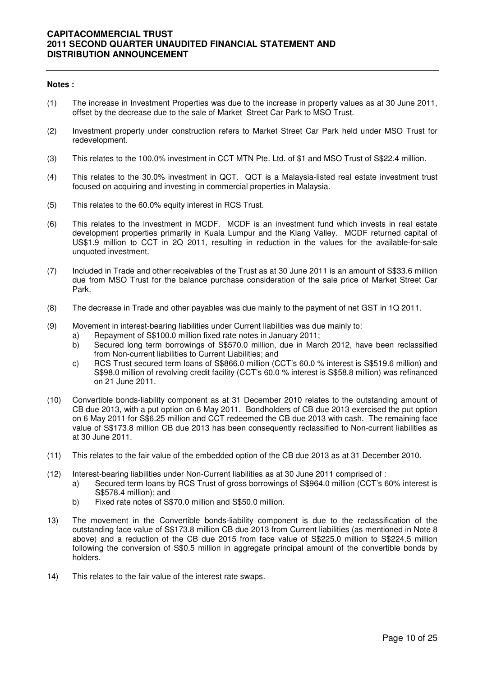#### **Notes :**

- (1) The increase in Investment Properties was due to the increase in property values as at 30 June 2011, offset by the decrease due to the sale of Market Street Car Park to MSO Trust.
- (2) Investment property under construction refers to Market Street Car Park held under MSO Trust for redevelopment.
- (3) This relates to the 100.0% investment in CCT MTN Pte. Ltd. of \$1 and MSO Trust of S\$22.4 million.
- (4) This relates to the 30.0% investment in QCT. QCT is a Malaysia-listed real estate investment trust focused on acquiring and investing in commercial properties in Malaysia.
- (5) This relates to the 60.0% equity interest in RCS Trust.
- (6) This relates to the investment in MCDF. MCDF is an investment fund which invests in real estate development properties primarily in Kuala Lumpur and the Klang Valley. MCDF returned capital of US\$1.9 million to CCT in 2Q 2011, resulting in reduction in the values for the available-for-sale unquoted investment.
- (7) Included in Trade and other receivables of the Trust as at 30 June 2011 is an amount of S\$33.6 million due from MSO Trust for the balance purchase consideration of the sale price of Market Street Car Park.
- (8) The decrease in Trade and other payables was due mainly to the payment of net GST in 1Q 2011.
- (9) Movement in interest-bearing liabilities under Current liabilities was due mainly to:
	- a) Repayment of S\$100.0 million fixed rate notes in January 2011;
	- b) Secured long term borrowings of S\$570.0 million, due in March 2012, have been reclassified from Non-current liabilities to Current Liabilities; and
	- c) RCS Trust secured term loans of S\$866.0 million (CCT's 60.0 % interest is S\$519.6 million) and S\$98.0 million of revolving credit facility (CCT's 60.0 % interest is S\$58.8 million) was refinanced on 21 June 2011.
- (10) Convertible bonds-liability component as at 31 December 2010 relates to the outstanding amount of CB due 2013, with a put option on 6 May 2011. Bondholders of CB due 2013 exercised the put option on 6 May 2011 for S\$6.25 million and CCT redeemed the CB due 2013 with cash. The remaining face value of S\$173.8 million CB due 2013 has been consequently reclassified to Non-current liabilities as at 30 June 2011.
- (11) This relates to the fair value of the embedded option of the CB due 2013 as at 31 December 2010.
- (12) Interest-bearing liabilities under Non-Current liabilities as at 30 June 2011 comprised of :
	- a) Secured term loans by RCS Trust of gross borrowings of S\$964.0 million (CCT's 60% interest is S\$578.4 million); and
	- b) Fixed rate notes of S\$70.0 million and S\$50.0 million.
- 13) The movement in the Convertible bonds-liability component is due to the reclassification of the outstanding face value of S\$173.8 million CB due 2013 from Current liabilities (as mentioned in Note 8 above) and a reduction of the CB due 2015 from face value of S\$225.0 million to S\$224.5 million following the conversion of S\$0.5 million in aggregate principal amount of the convertible bonds by holders.
- 14) This relates to the fair value of the interest rate swaps.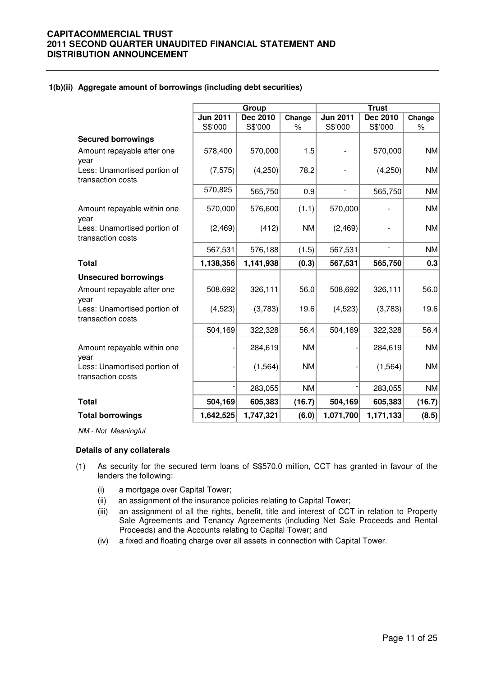#### **1(b)(ii) Aggregate amount of borrowings (including debt securities)**

|                                                   |                 | Group     |           |                 | <b>Trust</b>             |           |
|---------------------------------------------------|-----------------|-----------|-----------|-----------------|--------------------------|-----------|
|                                                   | <b>Jun 2011</b> | Dec 2010  | Change    | <b>Jun 2011</b> | <b>Dec 2010</b>          | Change    |
|                                                   | S\$'000         | S\$'000   | $\%$      | S\$'000         | S\$'000                  | $\%$      |
| <b>Secured borrowings</b>                         |                 |           |           |                 |                          |           |
| Amount repayable after one<br>year                | 578,400         | 570,000   | 1.5       |                 | 570,000                  | <b>NM</b> |
| Less: Unamortised portion of<br>transaction costs | (7, 575)        | (4,250)   | 78.2      |                 | (4,250)                  | <b>NM</b> |
|                                                   | 570,825         | 565,750   | 0.9       | $\overline{a}$  | 565,750                  | <b>NM</b> |
| Amount repayable within one<br>year               | 570,000         | 576,600   | (1.1)     | 570,000         |                          | <b>NM</b> |
| Less: Unamortised portion of<br>transaction costs | (2, 469)        | (412)     | <b>NM</b> | (2,469)         |                          | <b>NM</b> |
|                                                   | 567,531         | 576,188   | (1.5)     | 567,531         | $\overline{\phantom{a}}$ | <b>NM</b> |
| <b>Total</b>                                      | 1,138,356       | 1,141,938 | (0.3)     | 567,531         | 565,750                  | 0.3       |
| <b>Unsecured borrowings</b>                       |                 |           |           |                 |                          |           |
| Amount repayable after one<br>year                | 508,692         | 326,111   | 56.0      | 508,692         | 326,111                  | 56.0      |
| Less: Unamortised portion of<br>transaction costs | (4, 523)        | (3,783)   | 19.6      | (4, 523)        | (3,783)                  | 19.6      |
|                                                   | 504,169         | 322,328   | 56.4      | 504,169         | 322,328                  | 56.4      |
| Amount repayable within one<br>year               |                 | 284,619   | <b>NM</b> |                 | 284,619                  | <b>NM</b> |
| Less: Unamortised portion of<br>transaction costs |                 | (1, 564)  | <b>NM</b> |                 | (1, 564)                 | <b>NM</b> |
|                                                   |                 | 283,055   | <b>NM</b> |                 | 283,055                  | <b>NM</b> |
| <b>Total</b>                                      | 504,169         | 605,383   | (16.7)    | 504,169         | 605,383                  | (16.7)    |
| <b>Total borrowings</b>                           | 1,642,525       | 1,747,321 | (6.0)     | 1,071,700       | 1,171,133                | (8.5)     |

NM - Not Meaningful

#### **Details of any collaterals**

- (1) As security for the secured term loans of S\$570.0 million, CCT has granted in favour of the lenders the following:
	- (i) a mortgage over Capital Tower;
	- (ii) an assignment of the insurance policies relating to Capital Tower;
	- (iii) an assignment of all the rights, benefit, title and interest of CCT in relation to Property Sale Agreements and Tenancy Agreements (including Net Sale Proceeds and Rental Proceeds) and the Accounts relating to Capital Tower; and
	- (iv) a fixed and floating charge over all assets in connection with Capital Tower.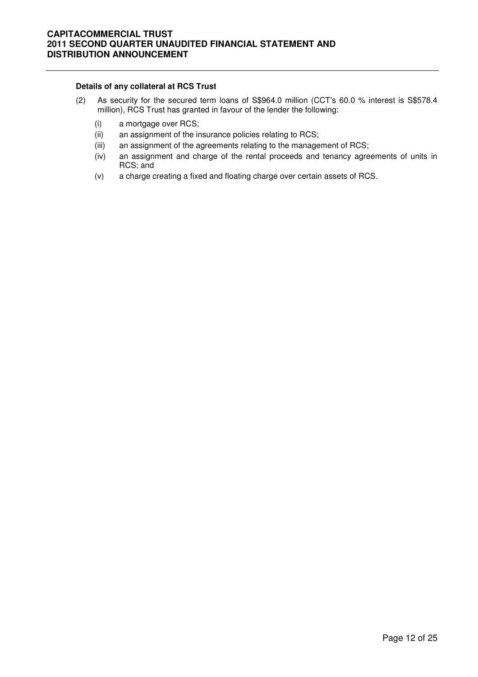#### **Details of any collateral at RCS Trust**

- (2) As security for the secured term loans of S\$964.0 million (CCT's 60.0 % interest is S\$578.4 million), RCS Trust has granted in favour of the lender the following:
	- (i) a mortgage over RCS;
	- (ii) an assignment of the insurance policies relating to RCS;
	- (iii) an assignment of the agreements relating to the management of RCS;
	- (iv) an assignment and charge of the rental proceeds and tenancy agreements of units in RCS; and
	- (v) a charge creating a fixed and floating charge over certain assets of RCS.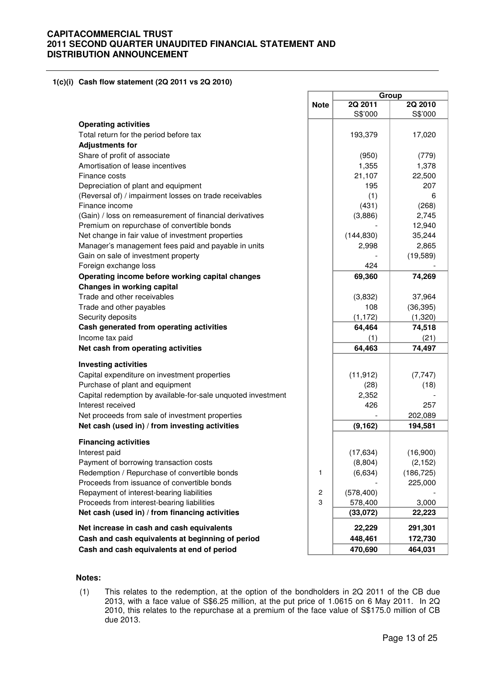#### **1(c)(i) Cash flow statement (2Q 2011 vs 2Q 2010)**

|                                                              |             | Group              |                    |  |
|--------------------------------------------------------------|-------------|--------------------|--------------------|--|
|                                                              | <b>Note</b> | 2Q 2011<br>S\$'000 | 2Q 2010<br>S\$'000 |  |
| <b>Operating activities</b>                                  |             |                    |                    |  |
| Total return for the period before tax                       |             | 193,379            | 17,020             |  |
| <b>Adjustments for</b>                                       |             |                    |                    |  |
| Share of profit of associate                                 |             | (950)              | (779)              |  |
| Amortisation of lease incentives                             |             | 1,355              | 1,378              |  |
| Finance costs                                                |             | 21,107             | 22,500             |  |
| Depreciation of plant and equipment                          |             | 195                | 207                |  |
| (Reversal of) / impairment losses on trade receivables       |             | (1)                | 6                  |  |
| Finance income                                               |             | (431)              | (268)              |  |
| (Gain) / loss on remeasurement of financial derivatives      |             | (3,886)            | 2,745              |  |
| Premium on repurchase of convertible bonds                   |             |                    | 12,940             |  |
| Net change in fair value of investment properties            |             | (144, 830)         | 35,244             |  |
| Manager's management fees paid and payable in units          |             | 2,998              | 2,865              |  |
| Gain on sale of investment property                          |             |                    | (19, 589)          |  |
| Foreign exchange loss                                        |             | 424                |                    |  |
| Operating income before working capital changes              |             | 69,360             | 74,269             |  |
| <b>Changes in working capital</b>                            |             |                    |                    |  |
| Trade and other receivables                                  |             | (3,832)            | 37,964             |  |
| Trade and other payables                                     |             | 108                | (36, 395)          |  |
| Security deposits                                            |             | (1, 172)           | (1,320)            |  |
| Cash generated from operating activities                     |             | 64,464             | 74,518             |  |
| Income tax paid                                              |             | (1)                | (21)               |  |
| Net cash from operating activities                           |             | 64,463             | 74,497             |  |
| <b>Investing activities</b>                                  |             |                    |                    |  |
| Capital expenditure on investment properties                 |             | (11, 912)          | (7, 747)           |  |
| Purchase of plant and equipment                              |             | (28)               | (18)               |  |
| Capital redemption by available-for-sale unquoted investment |             | 2,352              |                    |  |
| Interest received                                            |             | 426                | 257                |  |
| Net proceeds from sale of investment properties              |             |                    | 202,089            |  |
| Net cash (used in) / from investing activities               |             | (9, 162)           | 194,581            |  |
| <b>Financing activities</b>                                  |             |                    |                    |  |
| Interest paid                                                |             | (17, 634)          | (16,900)           |  |
| Payment of borrowing transaction costs                       |             | (8,804)            | (2, 152)           |  |
| Redemption / Repurchase of convertible bonds                 | 1           | (6,634)            | (186, 725)         |  |
| Proceeds from issuance of convertible bonds                  |             |                    | 225,000            |  |
| Repayment of interest-bearing liabilities                    | $\sqrt{2}$  | (578, 400)         |                    |  |
| Proceeds from interest-bearing liabilities                   | 3           | 578,400            | 3,000              |  |
| Net cash (used in) / from financing activities               |             | (33,072)           | 22,223             |  |
| Net increase in cash and cash equivalents                    |             | 22,229             | 291,301            |  |
| Cash and cash equivalents at beginning of period             |             | 448,461            | 172,730            |  |
| Cash and cash equivalents at end of period                   |             | 470,690            | 464,031            |  |

#### **Notes:**

(1) This relates to the redemption, at the option of the bondholders in 2Q 2011 of the CB due 2013, with a face value of S\$6.25 million, at the put price of 1.0615 on 6 May 2011. In 2Q 2010, this relates to the repurchase at a premium of the face value of S\$175.0 million of CB due 2013.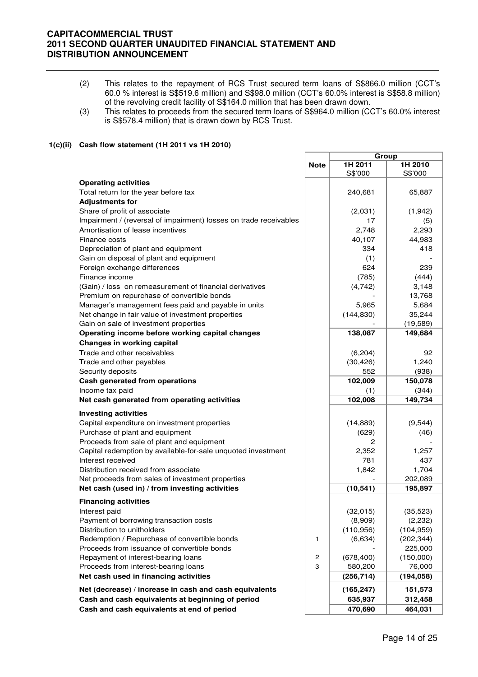- (2) This relates to the repayment of RCS Trust secured term loans of S\$866.0 million (CCT's 60.0 % interest is S\$519.6 million) and S\$98.0 million (CCT's 60.0% interest is S\$58.8 million) of the revolving credit facility of S\$164.0 million that has been drawn down.
- (3) This relates to proceeds from the secured term loans of S\$964.0 million (CCT's 60.0% interest is S\$578.4 million) that is drawn down by RCS Trust.

#### **1(c)(ii) Cash flow statement (1H 2011 vs 1H 2010)**

|                                                                   |                         | Group      |            |  |
|-------------------------------------------------------------------|-------------------------|------------|------------|--|
|                                                                   | <b>Note</b>             | 1H 2011    | 1H 2010    |  |
|                                                                   |                         | S\$'000    | S\$'000    |  |
| <b>Operating activities</b>                                       |                         |            |            |  |
| Total return for the year before tax                              |                         | 240,681    | 65,887     |  |
| <b>Adjustments for</b>                                            |                         |            |            |  |
| Share of profit of associate                                      |                         | (2,031)    | (1,942)    |  |
| Impairment / (reversal of impairment) losses on trade receivables |                         | 17         | (5)        |  |
| Amortisation of lease incentives                                  |                         | 2,748      | 2,293      |  |
| Finance costs                                                     |                         | 40,107     | 44,983     |  |
|                                                                   |                         | 334        | 418        |  |
| Depreciation of plant and equipment                               |                         |            |            |  |
| Gain on disposal of plant and equipment                           |                         | (1)        |            |  |
| Foreign exchange differences                                      |                         | 624        | 239        |  |
| Finance income                                                    |                         | (785)      | (444)      |  |
| (Gain) / loss on remeasurement of financial derivatives           |                         | (4,742)    | 3,148      |  |
| Premium on repurchase of convertible bonds                        |                         |            | 13,768     |  |
| Manager's management fees paid and payable in units               |                         | 5,965      | 5,684      |  |
| Net change in fair value of investment properties                 |                         | (144, 830) | 35,244     |  |
| Gain on sale of investment properties                             |                         |            | (19, 589)  |  |
| Operating income before working capital changes                   |                         | 138,087    | 149,684    |  |
| Changes in working capital                                        |                         |            |            |  |
| Trade and other receivables                                       |                         | (6,204)    | 92         |  |
| Trade and other payables                                          |                         | (30, 426)  | 1,240      |  |
| Security deposits                                                 |                         | 552        | (938)      |  |
| Cash generated from operations                                    |                         | 102,009    | 150,078    |  |
| Income tax paid                                                   |                         | (1)        | (344)      |  |
| Net cash generated from operating activities                      |                         | 102,008    | 149,734    |  |
|                                                                   |                         |            |            |  |
| <b>Investing activities</b>                                       |                         |            |            |  |
| Capital expenditure on investment properties                      |                         | (14, 889)  | (9, 544)   |  |
| Purchase of plant and equipment                                   |                         | (629)      | (46)       |  |
| Proceeds from sale of plant and equipment                         |                         | 2          |            |  |
| Capital redemption by available-for-sale unquoted investment      |                         | 2,352      | 1,257      |  |
| Interest received                                                 |                         | 781        | 437        |  |
| Distribution received from associate                              |                         | 1,842      | 1,704      |  |
| Net proceeds from sales of investment properties                  |                         |            | 202,089    |  |
| Net cash (used in) / from investing activities                    |                         | (10, 541)  | 195,897    |  |
|                                                                   |                         |            |            |  |
| <b>Financing activities</b>                                       |                         |            |            |  |
| Interest paid                                                     |                         | (32,015)   | (35, 523)  |  |
| Payment of borrowing transaction costs                            |                         | (8,909)    | (2,232)    |  |
| Distribution to unitholders                                       |                         | (110, 956) | (104, 959) |  |
| Redemption / Repurchase of convertible bonds                      | 1                       | (6,634)    | (202, 344) |  |
| Proceeds from issuance of convertible bonds                       |                         |            | 225,000    |  |
| Repayment of interest-bearing loans                               | $\overline{\mathbf{c}}$ | (678, 400) | (150,000)  |  |
| Proceeds from interest-bearing loans                              | 3                       | 580,200    | 76,000     |  |
| Net cash used in financing activities                             |                         | (256, 714) | (194, 058) |  |
| Net (decrease) / increase in cash and cash equivalents            |                         | (165, 247) | 151,573    |  |
| Cash and cash equivalents at beginning of period                  |                         | 635,937    | 312,458    |  |
| Cash and cash equivalents at end of period                        |                         |            |            |  |
|                                                                   |                         | 470,690    | 464,031    |  |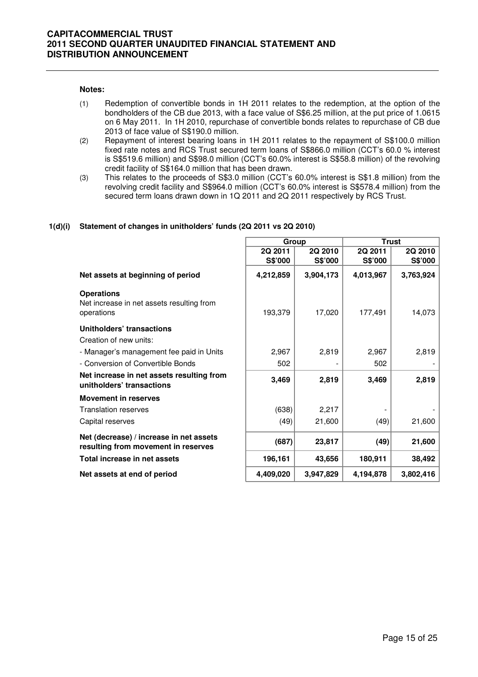#### **Notes:**

- (1) Redemption of convertible bonds in 1H 2011 relates to the redemption, at the option of the bondholders of the CB due 2013, with a face value of S\$6.25 million, at the put price of 1.0615 on 6 May 2011. In 1H 2010, repurchase of convertible bonds relates to repurchase of CB due 2013 of face value of S\$190.0 million.
- (2) Repayment of interest bearing loans in 1H 2011 relates to the repayment of S\$100.0 million fixed rate notes and RCS Trust secured term loans of S\$866.0 million (CCT's 60.0 % interest is S\$519.6 million) and S\$98.0 million (CCT's 60.0% interest is S\$58.8 million) of the revolving credit facility of S\$164.0 million that has been drawn.
- (3) This relates to the proceeds of S\$3.0 million (CCT's 60.0% interest is S\$1.8 million) from the revolving credit facility and S\$964.0 million (CCT's 60.0% interest is S\$578.4 million) from the secured term loans drawn down in 1Q 2011 and 2Q 2011 respectively by RCS Trust.

#### **1(d)(i) Statement of changes in unitholders' funds (2Q 2011 vs 2Q 2010)**

|                                                                                | Group     |           | <b>Trust</b> |           |  |
|--------------------------------------------------------------------------------|-----------|-----------|--------------|-----------|--|
|                                                                                | 2Q 2011   | 2Q 2010   | 2Q 2011      | 2Q 2010   |  |
|                                                                                | S\$'000   | S\$'000   | S\$'000      | S\$'000   |  |
| Net assets at beginning of period                                              | 4,212,859 | 3,904,173 | 4,013,967    | 3,763,924 |  |
| <b>Operations</b><br>Net increase in net assets resulting from<br>operations   | 193,379   | 17,020    | 177,491      | 14,073    |  |
| Unitholders' transactions                                                      |           |           |              |           |  |
| Creation of new units:                                                         |           |           |              |           |  |
| - Manager's management fee paid in Units                                       | 2,967     | 2,819     | 2,967        | 2,819     |  |
| - Conversion of Convertible Bonds                                              | 502       |           | 502          |           |  |
| Net increase in net assets resulting from<br>unitholders' transactions         | 3,469     | 2,819     | 3,469        | 2,819     |  |
| <b>Movement in reserves</b>                                                    |           |           |              |           |  |
| <b>Translation reserves</b>                                                    | (638)     | 2,217     |              |           |  |
| Capital reserves                                                               | (49)      | 21,600    | (49)         | 21,600    |  |
| Net (decrease) / increase in net assets<br>resulting from movement in reserves | (687)     | 23,817    | (49)         | 21,600    |  |
| Total increase in net assets                                                   | 196,161   | 43,656    | 180,911      | 38,492    |  |
| Net assets at end of period                                                    | 4,409,020 | 3,947,829 | 4,194,878    | 3,802,416 |  |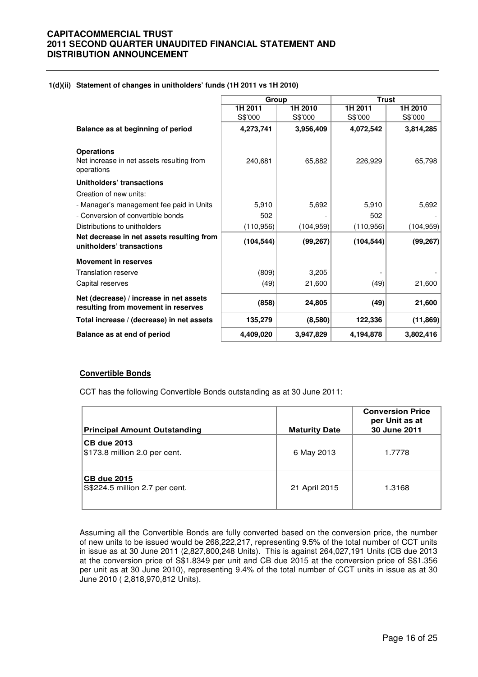#### **1(d)(ii) Statement of changes in unitholders' funds (1H 2011 vs 1H 2010)**

|                                                                                | Group      |            | <b>Trust</b> |            |
|--------------------------------------------------------------------------------|------------|------------|--------------|------------|
|                                                                                | 1H 2011    | 1H 2010    | 1H 2011      | 1H 2010    |
|                                                                                | S\$'000    | S\$'000    | S\$'000      | S\$'000    |
| Balance as at beginning of period                                              | 4,273,741  | 3,956,409  | 4,072,542    | 3,814,285  |
| <b>Operations</b>                                                              |            |            |              |            |
| Net increase in net assets resulting from<br>operations                        | 240.681    | 65,882     | 226,929      | 65,798     |
| Unitholders' transactions                                                      |            |            |              |            |
| Creation of new units:                                                         |            |            |              |            |
| - Manager's management fee paid in Units                                       | 5,910      | 5,692      | 5,910        | 5,692      |
| - Conversion of convertible bonds                                              | 502        |            | 502          |            |
| Distributions to unitholders                                                   | (110, 956) | (104, 959) | (110, 956)   | (104, 959) |
| Net decrease in net assets resulting from<br>unitholders' transactions         | (104, 544) | (99, 267)  | (104, 544)   | (99, 267)  |
| <b>Movement in reserves</b>                                                    |            |            |              |            |
| <b>Translation reserve</b>                                                     | (809)      | 3,205      |              |            |
| Capital reserves                                                               | (49)       | 21,600     | (49)         | 21,600     |
| Net (decrease) / increase in net assets<br>resulting from movement in reserves | (858)      | 24,805     | (49)         | 21,600     |
| Total increase / (decrease) in net assets                                      | 135,279    | (8,580)    | 122,336      | (11, 869)  |
| Balance as at end of period                                                    | 4.409.020  | 3,947,829  | 4,194,878    | 3,802,416  |

#### **Convertible Bonds**

CCT has the following Convertible Bonds outstanding as at 30 June 2011:

| <b>Principal Amount Outstanding</b>                  | <b>Maturity Date</b> | <b>Conversion Price</b><br>per Unit as at<br>30 June 2011 |
|------------------------------------------------------|----------------------|-----------------------------------------------------------|
| <b>CB due 2013</b><br>\$173.8 million 2.0 per cent.  | 6 May 2013           | 1.7778                                                    |
| <b>CB due 2015</b><br>S\$224.5 million 2.7 per cent. | 21 April 2015        | 1.3168                                                    |

 Assuming all the Convertible Bonds are fully converted based on the conversion price, the number of new units to be issued would be 268,222,217, representing 9.5% of the total number of CCT units in issue as at 30 June 2011 (2,827,800,248 Units). This is against 264,027,191 Units (CB due 2013 at the conversion price of S\$1.8349 per unit and CB due 2015 at the conversion price of S\$1.356 per unit as at 30 June 2010), representing 9.4% of the total number of CCT units in issue as at 30 June 2010 ( 2,818,970,812 Units).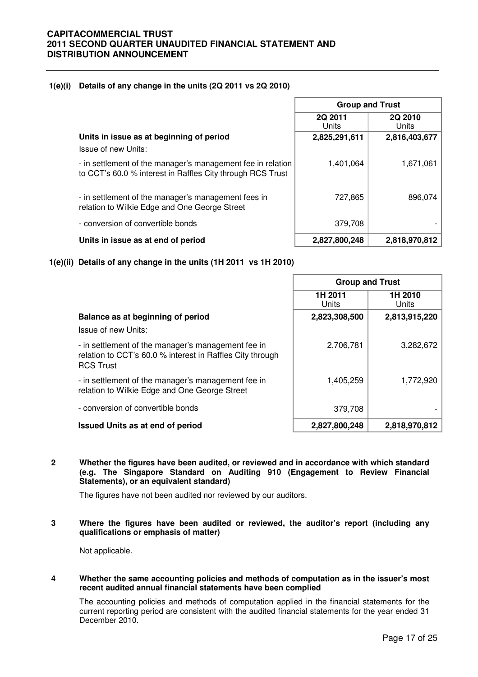#### **1(e)(i) Details of any change in the units (2Q 2011 vs 2Q 2010)**

|                                                                                                                           | <b>Group and Trust</b>  |                  |
|---------------------------------------------------------------------------------------------------------------------------|-------------------------|------------------|
|                                                                                                                           | <b>2Q 2011</b><br>Units | 2Q 2010<br>Units |
| Units in issue as at beginning of period                                                                                  | 2,825,291,611           | 2,816,403,677    |
| Issue of new Units:                                                                                                       |                         |                  |
| - in settlement of the manager's management fee in relation<br>to CCT's 60.0 % interest in Raffles City through RCS Trust | 1,401,064               | 1,671,061        |
| - in settlement of the manager's management fees in<br>relation to Wilkie Edge and One George Street                      | 727,865                 | 896,074          |
| - conversion of convertible bonds                                                                                         | 379,708                 |                  |
| Units in issue as at end of period                                                                                        | 2,827,800,248           | 2,818,970,812    |

#### **1(e)(ii) Details of any change in the units (1H 2011 vs 1H 2010)**

|                                                                                                                                     | <b>Group and Trust</b> |                  |
|-------------------------------------------------------------------------------------------------------------------------------------|------------------------|------------------|
|                                                                                                                                     | 1H 2011<br>Units       | 1H 2010<br>Units |
| Balance as at beginning of period                                                                                                   | 2,823,308,500          | 2,813,915,220    |
| Issue of new Units:                                                                                                                 |                        |                  |
| - in settlement of the manager's management fee in<br>relation to CCT's 60.0 % interest in Raffles City through<br><b>RCS Trust</b> | 2,706,781              | 3,282,672        |
| - in settlement of the manager's management fee in<br>relation to Wilkie Edge and One George Street                                 | 1,405,259              | 1,772,920        |
| - conversion of convertible bonds                                                                                                   | 379,708                |                  |
| <b>Issued Units as at end of period</b>                                                                                             | 2,827,800,248          | 2,818,970,812    |

**2 Whether the figures have been audited, or reviewed and in accordance with which standard (e.g. The Singapore Standard on Auditing 910 (Engagement to Review Financial Statements), or an equivalent standard)** 

The figures have not been audited nor reviewed by our auditors.

#### **3 Where the figures have been audited or reviewed, the auditor's report (including any qualifications or emphasis of matter)**

Not applicable.

#### **4 Whether the same accounting policies and methods of computation as in the issuer's most recent audited annual financial statements have been complied**

The accounting policies and methods of computation applied in the financial statements for the current reporting period are consistent with the audited financial statements for the year ended 31 December 2010.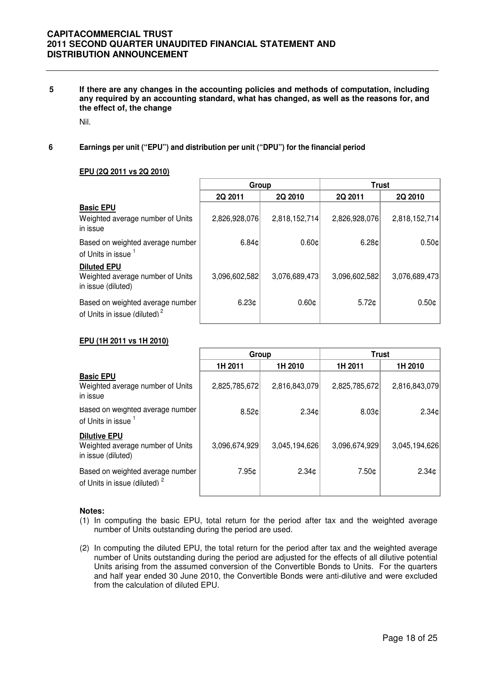**5 If there are any changes in the accounting policies and methods of computation, including any required by an accounting standard, what has changed, as well as the reasons for, and the effect of, the change** 

Nil.

**6 Earnings per unit ("EPU") and distribution per unit ("DPU") for the financial period**

#### **EPU (2Q 2011 vs 2Q 2010)**

|                                                                              | Group             |                   | <b>Trust</b>  |                   |
|------------------------------------------------------------------------------|-------------------|-------------------|---------------|-------------------|
|                                                                              | 2Q 2011           | 2Q 2010           | 2Q 2011       | 2Q 2010           |
| <b>Basic EPU</b><br>Weighted average number of Units<br>in issue             | 2,826,928,076     | 2,818,152,714     | 2,826,928,076 | 2,818,152,714     |
| Based on weighted average number<br>of Units in issue 1                      | 6.84c             | 0.60c             | 6.28c         | 0.50c             |
| <b>Diluted EPU</b><br>Weighted average number of Units<br>in issue (diluted) | 3,096,602,582     | 3,076,689,473     | 3,096,602,582 | 3,076,689,473     |
| Based on weighted average number<br>of Units in issue (diluted) <sup>2</sup> | 6.23 <sub>¢</sub> | 0.60 <sub>¢</sub> | $5.72$ ¢      | 0.50 <sub>¢</sub> |

#### **EPU (1H 2011 vs 1H 2010)**

|                                                                               | Group           |                   | <b>Trust</b>  |                   |
|-------------------------------------------------------------------------------|-----------------|-------------------|---------------|-------------------|
|                                                                               | 1H 2011         | 1H 2010           | 1H 2011       | 1H 2010           |
| <b>Basic EPU</b><br>Weighted average number of Units<br>in issue              | 2,825,785,672   | 2,816,843,079     | 2,825,785,672 | 2,816,843,079     |
| Based on weighted average number<br>of Units in issue 1                       | $8.52 \text{C}$ | 2.34c             | 8.03c         | 2.34c             |
| <b>Dilutive EPU</b><br>Weighted average number of Units<br>in issue (diluted) | 3,096,674,929   | 3,045,194,626     | 3,096,674,929 | 3,045,194,626     |
| Based on weighted average number<br>of Units in issue (diluted) <sup>2</sup>  | 7.95¢           | 2.34 <sub>0</sub> | 7.50¢         | 2.34 <sub>¢</sub> |

#### **Notes:**

- (1) In computing the basic EPU, total return for the period after tax and the weighted average number of Units outstanding during the period are used.
- (2) In computing the diluted EPU, the total return for the period after tax and the weighted average number of Units outstanding during the period are adjusted for the effects of all dilutive potential Units arising from the assumed conversion of the Convertible Bonds to Units. For the quarters and half year ended 30 June 2010, the Convertible Bonds were anti-dilutive and were excluded from the calculation of diluted EPU.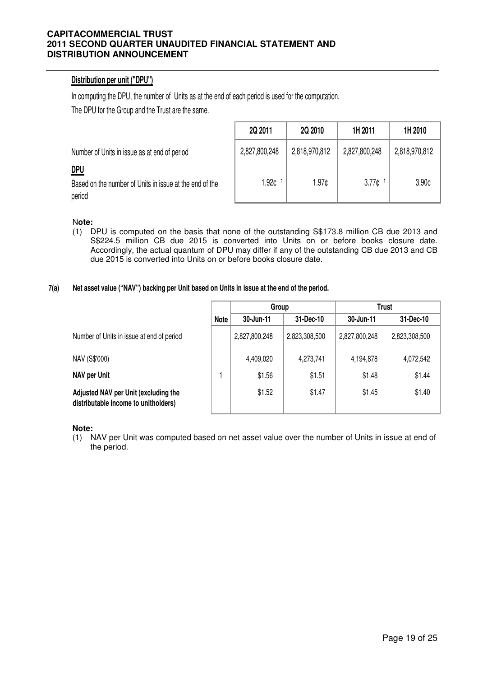## **Distribution per unit ("DPU")**

In computing the DPU, the number of Units as at the end of each period is used for the computation.

The DPU for the Group and the Trust are the same.

Number of Units in issue as at end of period

## **DPU**

Based on the number of Units in issue at the end of the period

| 2Q 2011       | 2Q 2010       | 1H 2011           | 1H 2010           |
|---------------|---------------|-------------------|-------------------|
| 2,827,800,248 | 2,818,970,812 | 2,827,800,248     | 2,818,970,812     |
| 1.92¢         | 1.97c         | 3.77 <sub>0</sub> | 3.90 <sub>0</sub> |

## N**ote:**

(1) DPU is computed on the basis that none of the outstanding S\$173.8 million CB due 2013 and S\$224.5 million CB due 2015 is converted into Units on or before books closure date. Accordingly, the actual quantum of DPU may differ if any of the outstanding CB due 2013 and CB due 2015 is converted into Units on or before books closure date.

#### **7(a) Net asset value ("NAV") backing per Unit based on Units in issue at the end of the period.**

|                                                                              |             | Group         |               | Trust         |               |
|------------------------------------------------------------------------------|-------------|---------------|---------------|---------------|---------------|
|                                                                              | <b>Note</b> | 30-Jun-11     | 31-Dec-10     | 30-Jun-11     | 31-Dec-10     |
| Number of Units in issue at end of period                                    |             | 2,827,800,248 | 2,823,308,500 | 2,827,800,248 | 2,823,308,500 |
| NAV (S\$'000)                                                                |             | 4,409,020     | 4,273,741     | 4,194,878     | 4,072,542     |
| <b>NAV per Unit</b>                                                          |             | \$1.56        | \$1.51        | \$1.48        | \$1.44        |
| Adjusted NAV per Unit (excluding the<br>distributable income to unitholders) |             | \$1.52        | \$1.47        | \$1.45        | \$1.40        |

**Note:**

(1) NAV per Unit was computed based on net asset value over the number of Units in issue at end of the period.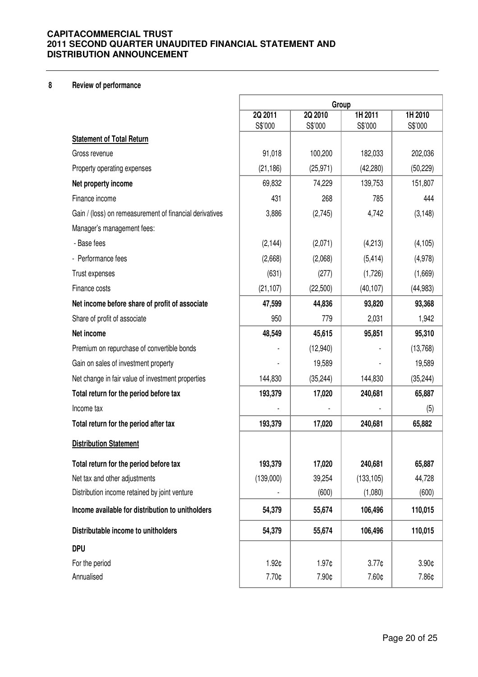## **8 Review of performance**

|                                                         | Group              |                    |                    |                    |
|---------------------------------------------------------|--------------------|--------------------|--------------------|--------------------|
|                                                         | 2Q 2011<br>S\$'000 | 2Q 2010<br>S\$'000 | 1H 2011<br>S\$'000 | 1H 2010<br>S\$'000 |
| <b>Statement of Total Return</b>                        |                    |                    |                    |                    |
| Gross revenue                                           | 91,018             | 100,200            | 182,033            | 202,036            |
| Property operating expenses                             | (21, 186)          | (25, 971)          | (42, 280)          | (50, 229)          |
| Net property income                                     | 69,832             | 74,229             | 139,753            | 151,807            |
| Finance income                                          | 431                | 268                | 785                | 444                |
| Gain / (loss) on remeasurement of financial derivatives | 3,886              | (2,745)            | 4,742              | (3, 148)           |
| Manager's management fees:                              |                    |                    |                    |                    |
| - Base fees                                             | (2, 144)           | (2,071)            | (4,213)            | (4, 105)           |
| - Performance fees                                      | (2,668)            | (2,068)            | (5, 414)           | (4,978)            |
| Trust expenses                                          | (631)              | (277)              | (1,726)            | (1,669)            |
| Finance costs                                           | (21, 107)          | (22,500)           | (40, 107)          | (44, 983)          |
| Net income before share of profit of associate          | 47,599             | 44,836             | 93,820             | 93,368             |
| Share of profit of associate                            | 950                | 779                | 2,031              | 1,942              |
| Net income                                              | 48,549             | 45,615             | 95,851             | 95,310             |
| Premium on repurchase of convertible bonds              |                    | (12,940)           |                    | (13,768)           |
| Gain on sales of investment property                    |                    | 19,589             |                    | 19,589             |
| Net change in fair value of investment properties       | 144,830            | (35, 244)          | 144,830            | (35, 244)          |
| Total return for the period before tax                  | 193,379            | 17,020             | 240,681            | 65,887             |
| Income tax                                              |                    |                    |                    | (5)                |
| Total return for the period after tax                   | 193,379            | 17,020             | 240,681            | 65,882             |
| <b>Distribution Statement</b>                           |                    |                    |                    |                    |
| Total return for the period before tax                  | 193,379            | 17,020             | 240,681            | 65,887             |
| Net tax and other adjustments                           | (139,000)          | 39,254             | (133, 105)         | 44,728             |
| Distribution income retained by joint venture           |                    | (600)              | (1,080)            | (600)              |
| Income available for distribution to unitholders        | 54,379             | 55,674             | 106,496            | 110,015            |
| Distributable income to unitholders                     | 54,379             | 55,674             | 106,496            | 110,015            |
| <b>DPU</b>                                              |                    |                    |                    |                    |
| For the period                                          | 1.92¢              | 1.97¢              | 3.77 <sub>¢</sub>  | 3.90¢              |
| Annualised                                              | 7.70¢              | 7.90¢              | 7.60¢              | 7.86¢              |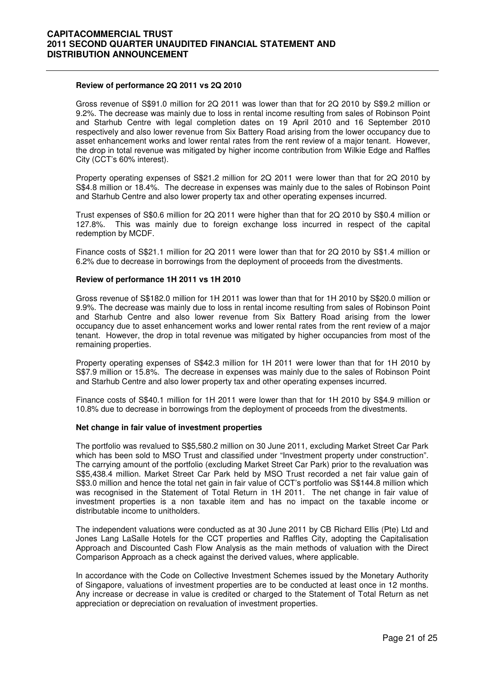#### **Review of performance 2Q 2011 vs 2Q 2010**

 Gross revenue of S\$91.0 million for 2Q 2011 was lower than that for 2Q 2010 by S\$9.2 million or 9.2%. The decrease was mainly due to loss in rental income resulting from sales of Robinson Point and Starhub Centre with legal completion dates on 19 April 2010 and 16 September 2010 respectively and also lower revenue from Six Battery Road arising from the lower occupancy due to asset enhancement works and lower rental rates from the rent review of a major tenant. However, the drop in total revenue was mitigated by higher income contribution from Wilkie Edge and Raffles City (CCT's 60% interest).

Property operating expenses of S\$21.2 million for 2Q 2011 were lower than that for 2Q 2010 by S\$4.8 million or 18.4%. The decrease in expenses was mainly due to the sales of Robinson Point and Starhub Centre and also lower property tax and other operating expenses incurred.

Trust expenses of S\$0.6 million for 2Q 2011 were higher than that for 2Q 2010 by S\$0.4 million or 127.8%. This was mainly due to foreign exchange loss incurred in respect of the capital redemption by MCDF.

Finance costs of S\$21.1 million for 2Q 2011 were lower than that for 2Q 2010 by S\$1.4 million or 6.2% due to decrease in borrowings from the deployment of proceeds from the divestments.

#### **Review of performance 1H 2011 vs 1H 2010**

Gross revenue of S\$182.0 million for 1H 2011 was lower than that for 1H 2010 by S\$20.0 million or 9.9%. The decrease was mainly due to loss in rental income resulting from sales of Robinson Point and Starhub Centre and also lower revenue from Six Battery Road arising from the lower occupancy due to asset enhancement works and lower rental rates from the rent review of a major tenant. However, the drop in total revenue was mitigated by higher occupancies from most of the remaining properties.

Property operating expenses of S\$42.3 million for 1H 2011 were lower than that for 1H 2010 by S\$7.9 million or 15.8%. The decrease in expenses was mainly due to the sales of Robinson Point and Starhub Centre and also lower property tax and other operating expenses incurred.

Finance costs of S\$40.1 million for 1H 2011 were lower than that for 1H 2010 by S\$4.9 million or 10.8% due to decrease in borrowings from the deployment of proceeds from the divestments.

#### **Net change in fair value of investment properties**

The portfolio was revalued to S\$5,580.2 million on 30 June 2011, excluding Market Street Car Park which has been sold to MSO Trust and classified under "Investment property under construction". The carrying amount of the portfolio (excluding Market Street Car Park) prior to the revaluation was S\$5,438.4 million. Market Street Car Park held by MSO Trust recorded a net fair value gain of S\$3.0 million and hence the total net gain in fair value of CCT's portfolio was S\$144.8 million which was recognised in the Statement of Total Return in 1H 2011. The net change in fair value of investment properties is a non taxable item and has no impact on the taxable income or distributable income to unitholders.

The independent valuations were conducted as at 30 June 2011 by CB Richard Ellis (Pte) Ltd and Jones Lang LaSalle Hotels for the CCT properties and Raffles City, adopting the Capitalisation Approach and Discounted Cash Flow Analysis as the main methods of valuation with the Direct Comparison Approach as a check against the derived values, where applicable.

In accordance with the Code on Collective Investment Schemes issued by the Monetary Authority of Singapore, valuations of investment properties are to be conducted at least once in 12 months. Any increase or decrease in value is credited or charged to the Statement of Total Return as net appreciation or depreciation on revaluation of investment properties.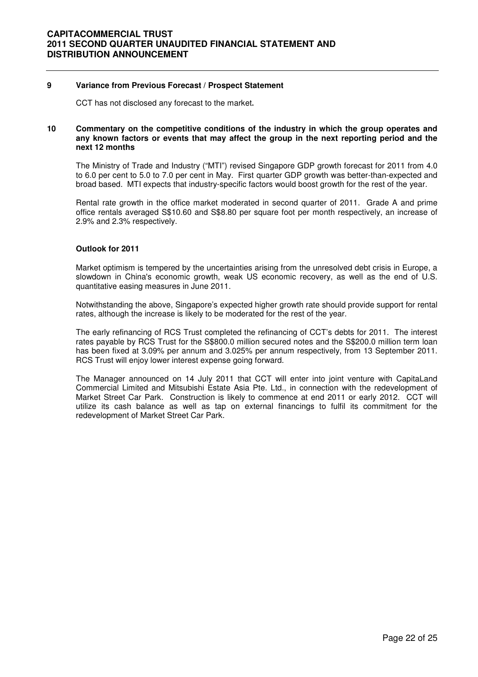#### **9 Variance from Previous Forecast / Prospect Statement**

CCT has not disclosed any forecast to the market**.** 

#### **10 Commentary on the competitive conditions of the industry in which the group operates and any known factors or events that may affect the group in the next reporting period and the next 12 months**

The Ministry of Trade and Industry ("MTI") revised Singapore GDP growth forecast for 2011 from 4.0 to 6.0 per cent to 5.0 to 7.0 per cent in May. First quarter GDP growth was better-than-expected and broad based. MTI expects that industry-specific factors would boost growth for the rest of the year.

Rental rate growth in the office market moderated in second quarter of 2011. Grade A and prime office rentals averaged S\$10.60 and S\$8.80 per square foot per month respectively, an increase of 2.9% and 2.3% respectively.

#### **Outlook for 2011**

Market optimism is tempered by the uncertainties arising from the unresolved debt crisis in Europe, a slowdown in China's economic growth, weak US economic recovery, as well as the end of U.S. quantitative easing measures in June 2011.

Notwithstanding the above, Singapore's expected higher growth rate should provide support for rental rates, although the increase is likely to be moderated for the rest of the year.

The early refinancing of RCS Trust completed the refinancing of CCT's debts for 2011. The interest rates payable by RCS Trust for the S\$800.0 million secured notes and the S\$200.0 million term loan has been fixed at 3.09% per annum and 3.025% per annum respectively, from 13 September 2011. RCS Trust will enjoy lower interest expense going forward.

The Manager announced on 14 July 2011 that CCT will enter into joint venture with CapitaLand Commercial Limited and Mitsubishi Estate Asia Pte. Ltd., in connection with the redevelopment of Market Street Car Park. Construction is likely to commence at end 2011 or early 2012. CCT will utilize its cash balance as well as tap on external financings to fulfil its commitment for the redevelopment of Market Street Car Park.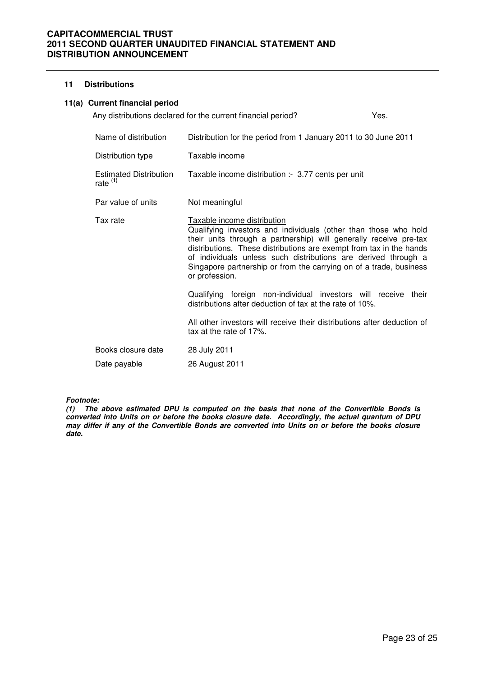## **11 Distributions**

#### **11(a) Current financial period**

|                                             | Any distributions declared for the current financial period?                                                                                                                                                                                                                                                                                                                                         | Yes. |
|---------------------------------------------|------------------------------------------------------------------------------------------------------------------------------------------------------------------------------------------------------------------------------------------------------------------------------------------------------------------------------------------------------------------------------------------------------|------|
| Name of distribution                        | Distribution for the period from 1 January 2011 to 30 June 2011                                                                                                                                                                                                                                                                                                                                      |      |
| Distribution type                           | Taxable income                                                                                                                                                                                                                                                                                                                                                                                       |      |
| <b>Estimated Distribution</b><br>rate $(1)$ | Taxable income distribution :- 3.77 cents per unit                                                                                                                                                                                                                                                                                                                                                   |      |
| Par value of units                          | Not meaningful                                                                                                                                                                                                                                                                                                                                                                                       |      |
| Tax rate                                    | Taxable income distribution<br>Qualifying investors and individuals (other than those who hold<br>their units through a partnership) will generally receive pre-tax<br>distributions. These distributions are exempt from tax in the hands<br>of individuals unless such distributions are derived through a<br>Singapore partnership or from the carrying on of a trade, business<br>or profession. |      |
|                                             | Qualifying foreign non-individual investors will receive their<br>distributions after deduction of tax at the rate of 10%.                                                                                                                                                                                                                                                                           |      |
|                                             | All other investors will receive their distributions after deduction of<br>tax at the rate of 17%.                                                                                                                                                                                                                                                                                                   |      |
| Books closure date<br>Date payable          | 28 July 2011<br>26 August 2011                                                                                                                                                                                                                                                                                                                                                                       |      |

**Footnote:** 

**(1) The above estimated DPU is computed on the basis that none of the Convertible Bonds is converted into Units on or before the books closure date. Accordingly, the actual quantum of DPU may differ if any of the Convertible Bonds are converted into Units on or before the books closure date.**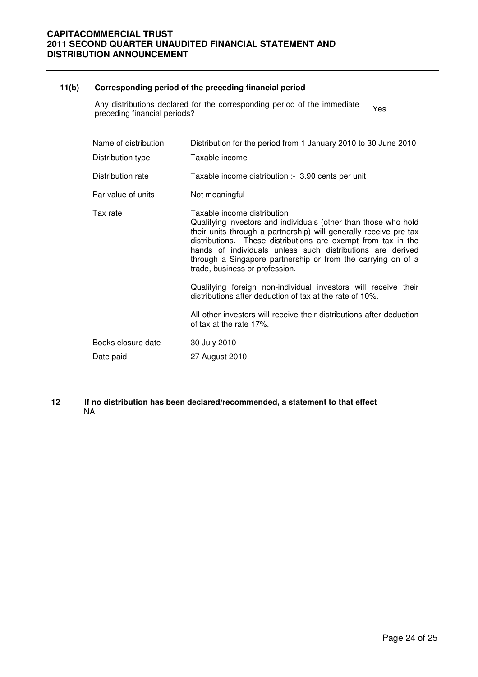#### **11(b) Corresponding period of the preceding financial period**

Any distributions declared for the corresponding period of the immediate Any distributions declared for the corresponding period of the immediate Yes.<br>preceding financial periods?

| Name of distribution<br>Distribution type | Distribution for the period from 1 January 2010 to 30 June 2010<br>Taxable income                                                                                                                                                                                                                                                                                                                    |
|-------------------------------------------|------------------------------------------------------------------------------------------------------------------------------------------------------------------------------------------------------------------------------------------------------------------------------------------------------------------------------------------------------------------------------------------------------|
| Distribution rate                         | Taxable income distribution :- 3.90 cents per unit                                                                                                                                                                                                                                                                                                                                                   |
| Par value of units                        | Not meaningful                                                                                                                                                                                                                                                                                                                                                                                       |
| Tax rate                                  | Taxable income distribution<br>Qualifying investors and individuals (other than those who hold<br>their units through a partnership) will generally receive pre-tax<br>distributions. These distributions are exempt from tax in the<br>hands of individuals unless such distributions are derived<br>through a Singapore partnership or from the carrying on of a<br>trade, business or profession. |
|                                           | Qualifying foreign non-individual investors will receive their<br>distributions after deduction of tax at the rate of 10%.                                                                                                                                                                                                                                                                           |
|                                           | All other investors will receive their distributions after deduction<br>of tax at the rate 17%.                                                                                                                                                                                                                                                                                                      |
| Books closure date                        | 30 July 2010                                                                                                                                                                                                                                                                                                                                                                                         |
| Date paid                                 | 27 August 2010                                                                                                                                                                                                                                                                                                                                                                                       |

#### **12 If no distribution has been declared/recommended, a statement to that effect**  NA